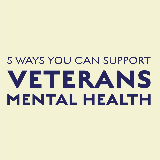# 5 WAYS YOU CAN SUPPORT VETERANS MENTAL HEALTH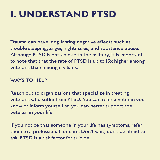### **1. UNDERSTAND PTSD**

Trauma can have long-lasting negative effects such as trouble sleeping, anger, nightmares, and substance abuse. Although PTSD is not unique to the military, it is important to note that that the rate of PTSD is up to 15x higher among veterans than among civilians.

#### WAYS TO HELP

Reach out to organizations that specialize in treating veterans who suffer from PTSD. You can refer a veteran you know or inform yourself so you can better support the veteran in your life.

If you notice that someone in your life has symptoms, refer them to a professional for care. Don't wait, don't be afraid to ask. PTSD is a risk factor for suicide.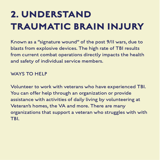## **2. UNDERSTAND TRAUMATIC BRAIN INJURY**

Known as a "signature wound" of the post 9/11 wars, due to blasts from explosive devices. The high rate of TBI results from current combat operations directly impacts the health and safety of individual service members.

#### WAYS TO HELP

Volunteer to work with veterans who have experienced TBI. You can offer help through an organization or provide assistance with activities of daily living by volunteering at Veteran's homes, the VA and more. There are many organizations that support a veteran who struggles with with TBI.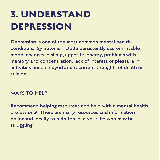## **3. UNDERSTAND DEPRESSION**

Depression is one of the most common mental health conditions. Symptoms include persistently sad or irritable mood, changes in sleep, appetite, energy, problems with memory and concentration, lack of interest or pleasure in activities once enjoyed and recurrent thoughts of death or suicide.

#### WAYS TO HELP

Recommend helping resources and help with a mental health professional. There are many resources and information onlineand locally to help those in your life who may be struggling.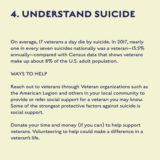### **4. UNDERSTAND SUICIDE**

On average, 17 veterans a day die by suicide. In 2017, nearly one in every seven suicides nationally was a veteran—13.5% annually—compared with Census data that shows veterans make up about 8% of the U.S. adult population.

#### WAYS TO HELP

Reach out to veterans through Veteran organizations such as the American Legion and others in your local community to provide or refer social support for a veteran you may know. Some of the strongest protective factors against suicide is social support.

Donate your time and money (if you can) to help support veterans. Volunteering to help could make a difference in a veteran's life.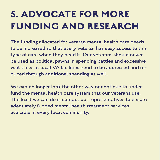## **5. ADVOCATE FOR MORE FUNDING AND RESEARCH**

The funding allocated for veteran mental health care needs to be increased so that every veteran has easy access to this type of care when they need it. Our veterans should never be used as political pawns in spending battles and excessive wait times at local VA facilities need to be addressed and reduced through additional spending as well.

We can no longer look the other way or continue to under fund the mental health care system that our veterans use. The least we can do is contact our representatives to ensure adequately funded mental health treatment services available in every local community.